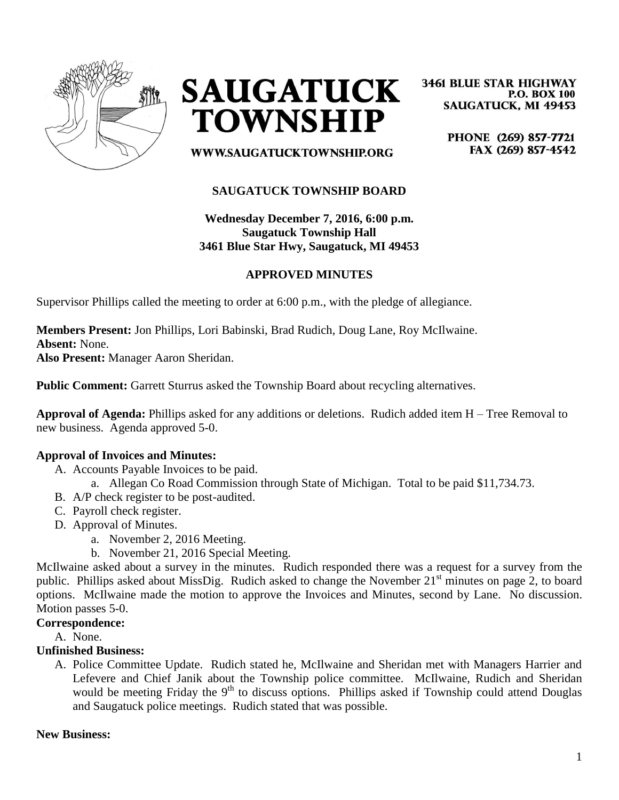



**3461 BLUE STAR HIGHWAY P.O. BOX 100 SAUGATUCK, MI 49453** 

> PHONE (269) 857-7721 FAX (269) 857-4542

WWW.SAUGATUCKTOWNSHIP.ORG

# **SAUGATUCK TOWNSHIP BOARD**

**Wednesday December 7, 2016, 6:00 p.m. Saugatuck Township Hall 3461 Blue Star Hwy, Saugatuck, MI 49453**

## **APPROVED MINUTES**

Supervisor Phillips called the meeting to order at 6:00 p.m., with the pledge of allegiance.

**Members Present:** Jon Phillips, Lori Babinski, Brad Rudich, Doug Lane, Roy McIlwaine. **Absent:** None.

**Also Present:** Manager Aaron Sheridan.

**Public Comment:** Garrett Sturrus asked the Township Board about recycling alternatives.

**Approval of Agenda:** Phillips asked for any additions or deletions. Rudich added item H – Tree Removal to new business. Agenda approved 5-0.

## **Approval of Invoices and Minutes:**

- A. Accounts Payable Invoices to be paid.
	- a. Allegan Co Road Commission through State of Michigan. Total to be paid \$11,734.73.
- B. A/P check register to be post-audited.
- C. Payroll check register.
- D. Approval of Minutes.
	- a. November 2, 2016 Meeting.
	- b. November 21, 2016 Special Meeting.

McIlwaine asked about a survey in the minutes. Rudich responded there was a request for a survey from the public. Phillips asked about MissDig. Rudich asked to change the November 21<sup>st</sup> minutes on page 2, to board options. McIlwaine made the motion to approve the Invoices and Minutes, second by Lane. No discussion. Motion passes 5-0.

#### **Correspondence:**

A. None.

#### **Unfinished Business:**

A. Police Committee Update. Rudich stated he, McIlwaine and Sheridan met with Managers Harrier and Lefevere and Chief Janik about the Township police committee. McIlwaine, Rudich and Sheridan would be meeting Friday the 9<sup>th</sup> to discuss options. Phillips asked if Township could attend Douglas and Saugatuck police meetings. Rudich stated that was possible.

#### **New Business:**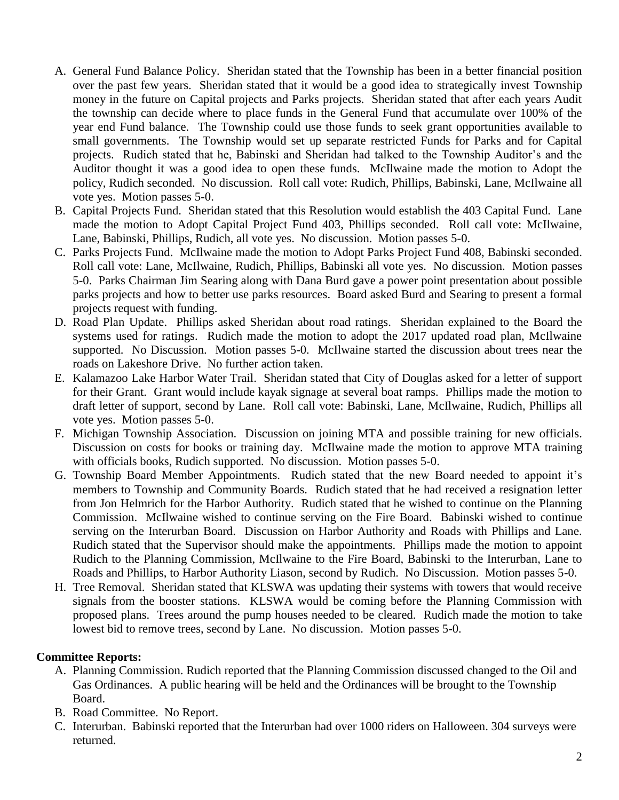- A. General Fund Balance Policy. Sheridan stated that the Township has been in a better financial position over the past few years. Sheridan stated that it would be a good idea to strategically invest Township money in the future on Capital projects and Parks projects. Sheridan stated that after each years Audit the township can decide where to place funds in the General Fund that accumulate over 100% of the year end Fund balance. The Township could use those funds to seek grant opportunities available to small governments. The Township would set up separate restricted Funds for Parks and for Capital projects. Rudich stated that he, Babinski and Sheridan had talked to the Township Auditor's and the Auditor thought it was a good idea to open these funds. McIlwaine made the motion to Adopt the policy, Rudich seconded. No discussion. Roll call vote: Rudich, Phillips, Babinski, Lane, McIlwaine all vote yes. Motion passes 5-0.
- B. Capital Projects Fund. Sheridan stated that this Resolution would establish the 403 Capital Fund. Lane made the motion to Adopt Capital Project Fund 403, Phillips seconded. Roll call vote: McIlwaine, Lane, Babinski, Phillips, Rudich, all vote yes. No discussion. Motion passes 5-0.
- C. Parks Projects Fund. McIlwaine made the motion to Adopt Parks Project Fund 408, Babinski seconded. Roll call vote: Lane, McIlwaine, Rudich, Phillips, Babinski all vote yes. No discussion. Motion passes 5-0. Parks Chairman Jim Searing along with Dana Burd gave a power point presentation about possible parks projects and how to better use parks resources. Board asked Burd and Searing to present a formal projects request with funding.
- D. Road Plan Update. Phillips asked Sheridan about road ratings. Sheridan explained to the Board the systems used for ratings. Rudich made the motion to adopt the 2017 updated road plan, McIlwaine supported. No Discussion. Motion passes 5-0. McIlwaine started the discussion about trees near the roads on Lakeshore Drive. No further action taken.
- E. Kalamazoo Lake Harbor Water Trail. Sheridan stated that City of Douglas asked for a letter of support for their Grant. Grant would include kayak signage at several boat ramps. Phillips made the motion to draft letter of support, second by Lane. Roll call vote: Babinski, Lane, McIlwaine, Rudich, Phillips all vote yes. Motion passes 5-0.
- F. Michigan Township Association. Discussion on joining MTA and possible training for new officials. Discussion on costs for books or training day. McIlwaine made the motion to approve MTA training with officials books, Rudich supported. No discussion. Motion passes 5-0.
- G. Township Board Member Appointments. Rudich stated that the new Board needed to appoint it's members to Township and Community Boards. Rudich stated that he had received a resignation letter from Jon Helmrich for the Harbor Authority. Rudich stated that he wished to continue on the Planning Commission. McIlwaine wished to continue serving on the Fire Board. Babinski wished to continue serving on the Interurban Board. Discussion on Harbor Authority and Roads with Phillips and Lane. Rudich stated that the Supervisor should make the appointments. Phillips made the motion to appoint Rudich to the Planning Commission, McIlwaine to the Fire Board, Babinski to the Interurban, Lane to Roads and Phillips, to Harbor Authority Liason, second by Rudich. No Discussion. Motion passes 5-0.
- H. Tree Removal. Sheridan stated that KLSWA was updating their systems with towers that would receive signals from the booster stations. KLSWA would be coming before the Planning Commission with proposed plans. Trees around the pump houses needed to be cleared. Rudich made the motion to take lowest bid to remove trees, second by Lane. No discussion. Motion passes 5-0.

## **Committee Reports:**

- A. Planning Commission. Rudich reported that the Planning Commission discussed changed to the Oil and Gas Ordinances. A public hearing will be held and the Ordinances will be brought to the Township Board.
- B. Road Committee. No Report.
- C. Interurban. Babinski reported that the Interurban had over 1000 riders on Halloween. 304 surveys were returned.